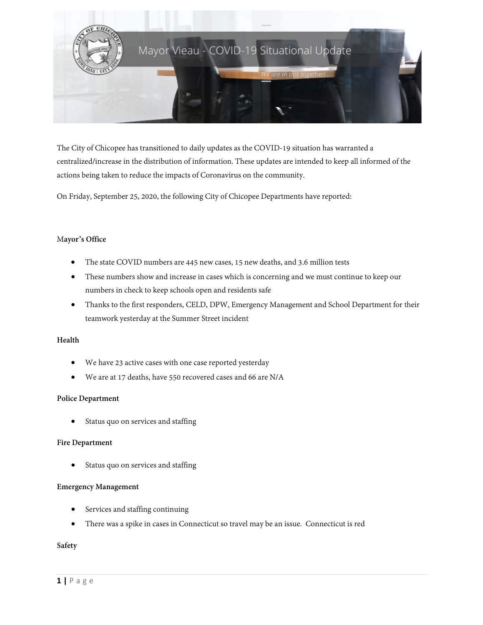

The City of Chicopee has transitioned to daily updates as the COVID-19 situation has warranted a centralized/increase in the distribution of information. These updates are intended to keep all informed of the actions being taken to reduce the impacts of Coronavirus on the community.

On Friday, September 25, 2020, the following City of Chicopee Departments have reported:

### M**ayor's Office**

- The state COVID numbers are 445 new cases, 15 new deaths, and 3.6 million tests
- These numbers show and increase in cases which is concerning and we must continue to keep our numbers in check to keep schools open and residents safe
- Thanks to the first responders, CELD, DPW, Emergency Management and School Department for their teamwork yesterday at the Summer Street incident

#### **Health**

- We have 23 active cases with one case reported yesterday
- We are at 17 deaths, have 550 recovered cases and 66 are N/A

#### **Police Department**

Status quo on services and staffing

#### **Fire Department**

Status quo on services and staffing

#### **Emergency Management**

- Services and staffing continuing
- There was a spike in cases in Connecticut so travel may be an issue. Connecticut is red

**Safety**